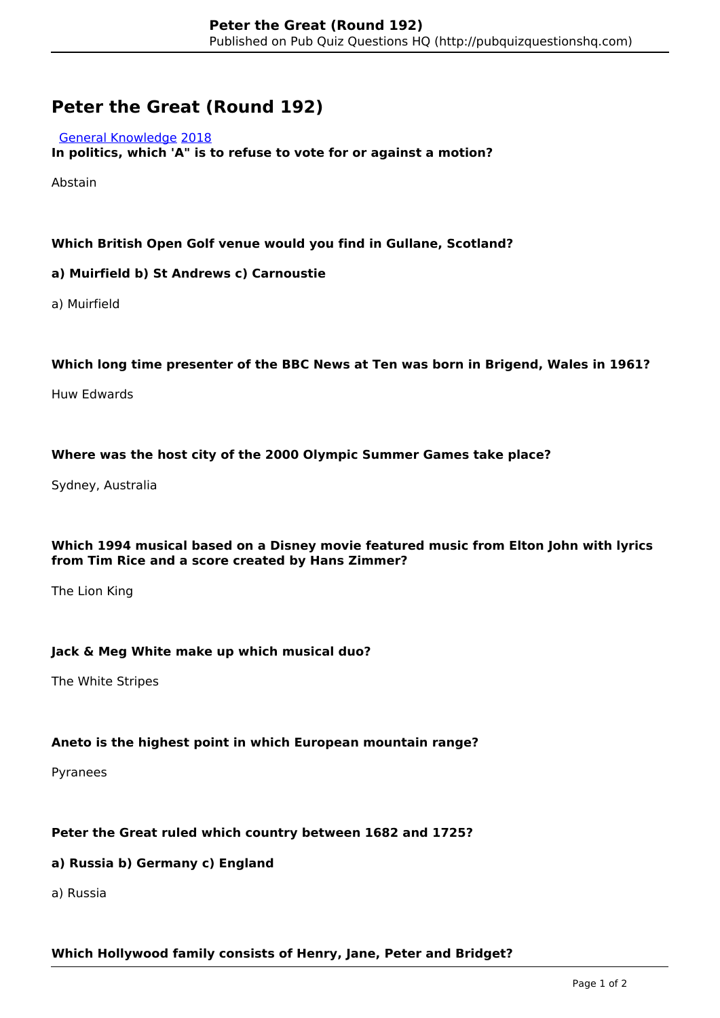# **Peter the Great (Round 192)**

#### [General Knowledge](http://pubquizquestionshq.com/categories/general-knowledge) [2018](http://pubquizquestionshq.com/categories/2018)

**In politics, which 'A" is to refuse to vote for or against a motion?**

Abstain

# **Which British Open Golf venue would you find in Gullane, Scotland?**

## **a) Muirfield b) St Andrews c) Carnoustie**

a) Muirfield

#### **Which long time presenter of the BBC News at Ten was born in Brigend, Wales in 1961?**

Huw Edwards

## **Where was the host city of the 2000 Olympic Summer Games take place?**

Sydney, Australia

## **Which 1994 musical based on a Disney movie featured music from Elton John with lyrics from Tim Rice and a score created by Hans Zimmer?**

The Lion King

#### **Jack & Meg White make up which musical duo?**

The White Stripes

# **Aneto is the highest point in which European mountain range?**

Pyranees

# **Peter the Great ruled which country between 1682 and 1725?**

# **a) Russia b) Germany c) England**

a) Russia

#### **Which Hollywood family consists of Henry, Jane, Peter and Bridget?**